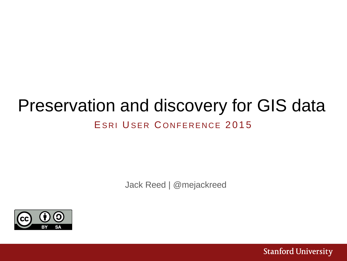### Preservation and discovery for GIS data ESRI USER CONFERENCE 2015

Jack Reed | @mejackreed

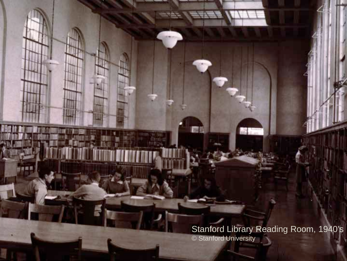Stanford Library Reading Room, 1940's © Stanford University

置

. . .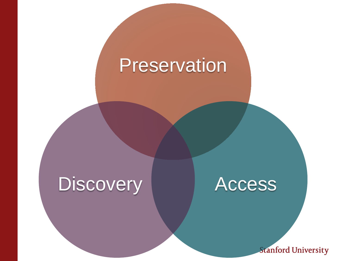## Preservation

## Discovery **Access**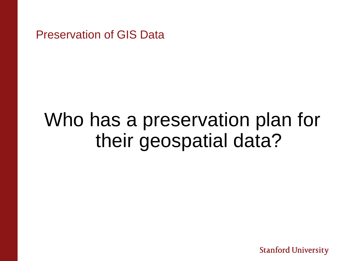## Who has a preservation plan for their geospatial data?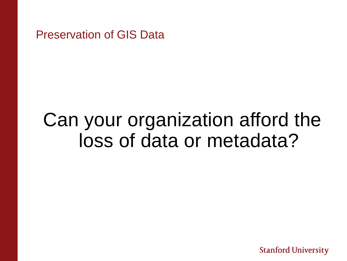## Can your organization afford the loss of data or metadata?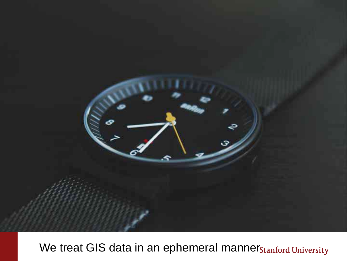

We treat GIS data in an ephemeral mannerStanford University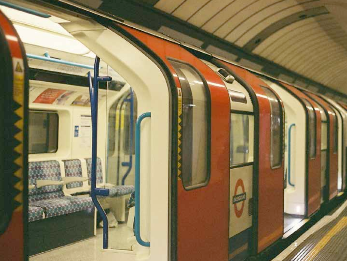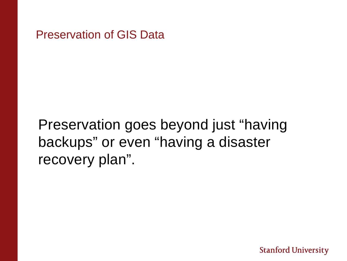Preservation goes beyond just "having backups" or even "having a disaster recovery plan".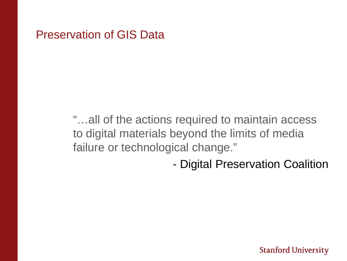"…all of the actions required to maintain access to digital materials beyond the limits of media failure or technological change."

- Digital Preservation Coalition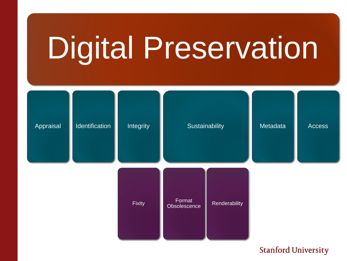# Digital Preservation

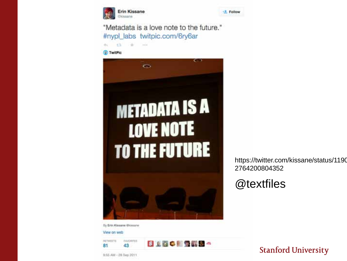



"Metadata is a love note to the future." #nypl\_labs\_twitpic.com/6ry6ar



**O**TwitPic



https://twitter.com/kissane/status/1190 2764200804352

@textfiles

By Erin Klesane Blossane

View on web

**FAVORITER JWTWEETS** 43 81



**Stanford University** 

9:55 AM - 28 Sep 2011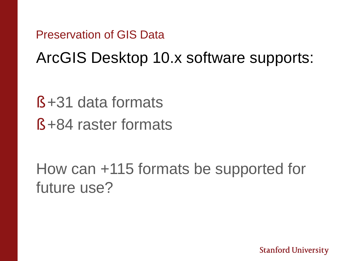## Preservation of GIS Data ArcGIS Desktop 10.x software supports:

- § +31 data formats
- § +84 raster formats

How can +115 formats be supported for future use?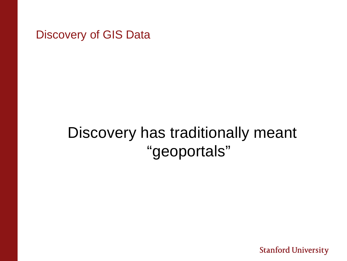Discovery of GIS Data

#### Discovery has traditionally meant "geoportals"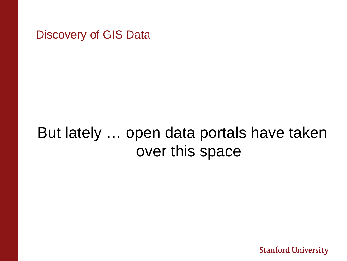Discovery of GIS Data

#### But lately … open data portals have taken over this space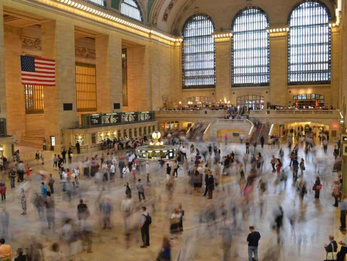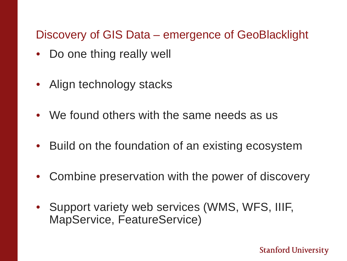Discovery of GIS Data – emergence of GeoBlacklight

- Do one thing really well
- Align technology stacks
- We found others with the same needs as us
- Build on the foundation of an existing ecosystem
- Combine preservation with the power of discovery
- Support variety web services (WMS, WFS, IIIF, MapService, FeatureService)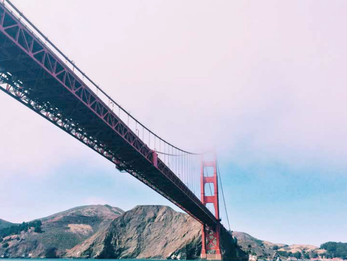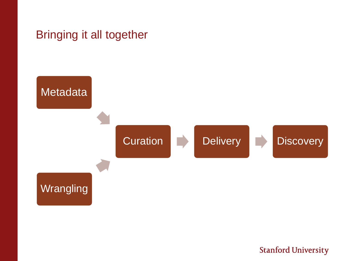#### Bringing it all together

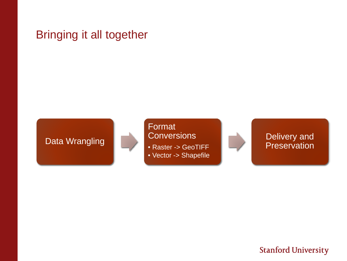#### Bringing it all together

#### Data Wrangling

Format **Conversions** 

- Raster -> GeoTIFF
- Vector -> Shapefile

Delivery and **Preservation**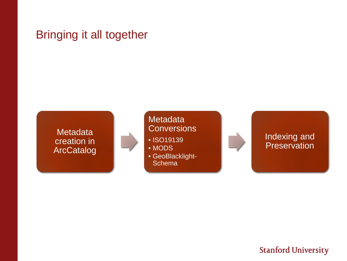#### Bringing it all together



**Metadata Conversions** 

- ISO19139 • MODS
- GeoBlacklight-Schema

Indexing and **Preservation**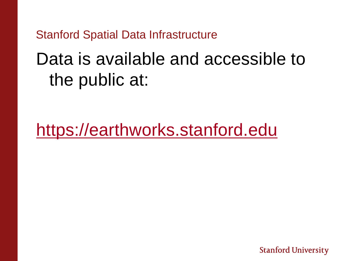Stanford Spatial Data Infrastructure

## Data is available and accessible to the public at:

<https://earthworks.stanford.edu>